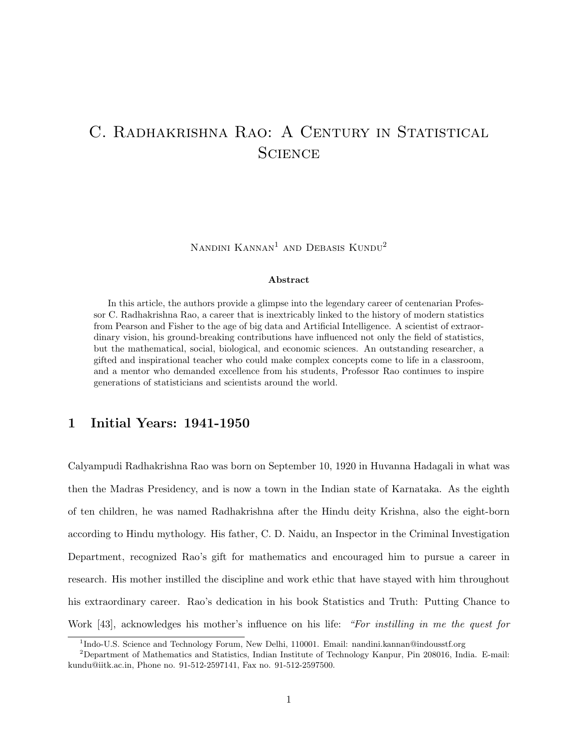# C. RADHAKRISHNA RAO: A CENTURY IN STATISTICAL **SCIENCE**

Nandini Kannan1 and Debasis Kundu2

#### Abstract

In this article, the authors provide a glimpse into the legendary career of centenarian Professor C. Radhakrishna Rao, a career that is inextricably linked to the history of modern statistics from Pearson and Fisher to the age of big data and Artificial Intelligence. A scientist of extraordinary vision, his ground-breaking contributions have influenced not only the field of statistics, but the mathematical, social, biological, and economic sciences. An outstanding researcher, a gifted and inspirational teacher who could make complex concepts come to life in a classroom, and a mentor who demanded excellence from his students, Professor Rao continues to inspire generations of statisticians and scientists around the world.

# 1 Initial Years: 1941-1950

Calyampudi Radhakrishna Rao was born on September 10, 1920 in Huvanna Hadagali in what was then the Madras Presidency, and is now a town in the Indian state of Karnataka. As the eighth of ten children, he was named Radhakrishna after the Hindu deity Krishna, also the eight-born according to Hindu mythology. His father, C. D. Naidu, an Inspector in the Criminal Investigation Department, recognized Rao's gift for mathematics and encouraged him to pursue a career in research. His mother instilled the discipline and work ethic that have stayed with him throughout his extraordinary career. Rao's dedication in his book Statistics and Truth: Putting Chance to Work [43], acknowledges his mother's influence on his life: "For *instilling in me the quest for* 

<sup>&</sup>lt;sup>1</sup>Indo-U.S. Science and Technology Forum, New Delhi, 110001. Email: nandini.kannan@indousstf.org

<sup>2</sup>Department of Mathematics and Statistics, Indian Institute of Technology Kanpur, Pin 208016, India. E-mail: kundu@iitk.ac.in, Phone no. 91-512-2597141, Fax no. 91-512-2597500.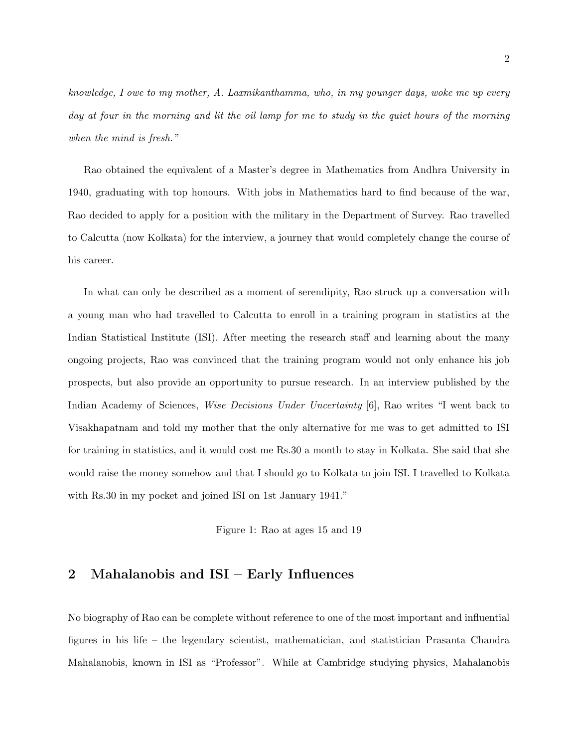knowledge, I owe to my mother, A. Laxmikanthamma, who, in my younger days, woke me up every day at four in the morning and lit the oil lamp for me to study in the quiet hours of the morning when the mind is fresh."

Rao obtained the equivalent of a Master's degree in Mathematics from Andhra University in 1940, graduating with top honours. With jobs in Mathematics hard to find because of the war, Rao decided to apply for a position with the military in the Department of Survey. Rao travelled to Calcutta (now Kolkata) for the interview, a journey that would completely change the course of his career.

In what can only be described as a moment of serendipity, Rao struck up a conversation with a young man who had travelled to Calcutta to enroll in a training program in statistics at the Indian Statistical Institute (ISI). After meeting the research staff and learning about the many ongoing projects, Rao was convinced that the training program would not only enhance his job prospects, but also provide an opportunity to pursue research. In an interview published by the Indian Academy of Sciences, Wise Decisions Under Uncertainty [6], Rao writes "I went back to Visakhapatnam and told my mother that the only alternative for me was to get admitted to ISI for training in statistics, and it would cost me Rs.30 a month to stay in Kolkata. She said that she would raise the money somehow and that I should go to Kolkata to join ISI. I travelled to Kolkata with Rs.30 in my pocket and joined ISI on 1st January 1941."

Figure 1: Rao at ages 15 and 19

## 2 Mahalanobis and ISI – Early Influences

No biography of Rao can be complete without reference to one of the most important and influential figures in his life – the legendary scientist, mathematician, and statistician Prasanta Chandra Mahalanobis, known in ISI as "Professor". While at Cambridge studying physics, Mahalanobis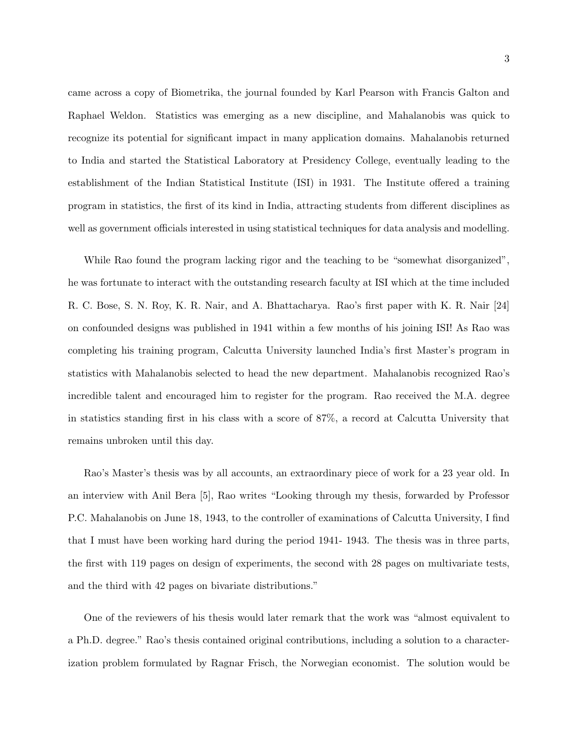came across a copy of Biometrika, the journal founded by Karl Pearson with Francis Galton and Raphael Weldon. Statistics was emerging as a new discipline, and Mahalanobis was quick to recognize its potential for significant impact in many application domains. Mahalanobis returned to India and started the Statistical Laboratory at Presidency College, eventually leading to the establishment of the Indian Statistical Institute (ISI) in 1931. The Institute offered a training program in statistics, the first of its kind in India, attracting students from different disciplines as well as government officials interested in using statistical techniques for data analysis and modelling.

While Rao found the program lacking rigor and the teaching to be "somewhat disorganized", he was fortunate to interact with the outstanding research faculty at ISI which at the time included R. C. Bose, S. N. Roy, K. R. Nair, and A. Bhattacharya. Rao's first paper with K. R. Nair [24] on confounded designs was published in 1941 within a few months of his joining ISI! As Rao was completing his training program, Calcutta University launched India's first Master's program in statistics with Mahalanobis selected to head the new department. Mahalanobis recognized Rao's incredible talent and encouraged him to register for the program. Rao received the M.A. degree in statistics standing first in his class with a score of 87%, a record at Calcutta University that remains unbroken until this day.

Rao's Master's thesis was by all accounts, an extraordinary piece of work for a 23 year old. In an interview with Anil Bera [5], Rao writes "Looking through my thesis, forwarded by Professor P.C. Mahalanobis on June 18, 1943, to the controller of examinations of Calcutta University, I find that I must have been working hard during the period 1941- 1943. The thesis was in three parts, the first with 119 pages on design of experiments, the second with 28 pages on multivariate tests, and the third with 42 pages on bivariate distributions."

One of the reviewers of his thesis would later remark that the work was "almost equivalent to a Ph.D. degree." Rao's thesis contained original contributions, including a solution to a characterization problem formulated by Ragnar Frisch, the Norwegian economist. The solution would be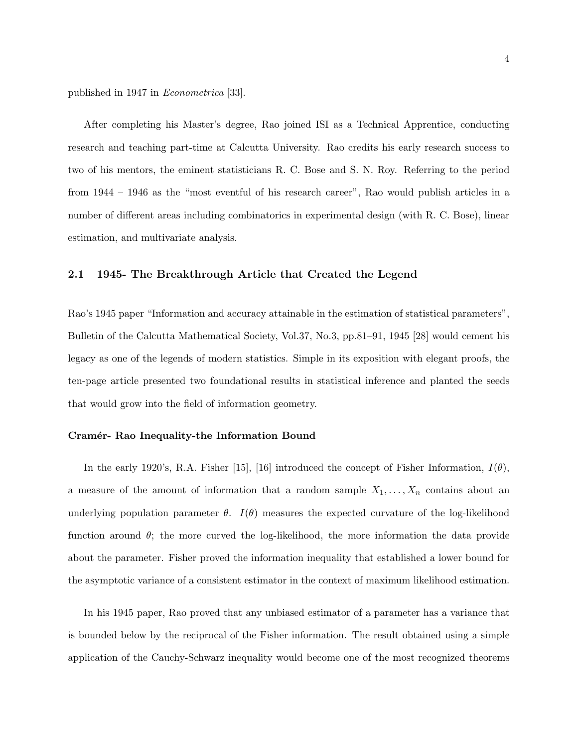published in 1947 in Econometrica [33].

After completing his Master's degree, Rao joined ISI as a Technical Apprentice, conducting research and teaching part-time at Calcutta University. Rao credits his early research success to two of his mentors, the eminent statisticians R. C. Bose and S. N. Roy. Referring to the period from 1944 – 1946 as the "most eventful of his research career", Rao would publish articles in a number of different areas including combinatorics in experimental design (with R. C. Bose), linear estimation, and multivariate analysis.

### 2.1 1945- The Breakthrough Article that Created the Legend

Rao's 1945 paper "Information and accuracy attainable in the estimation of statistical parameters", Bulletin of the Calcutta Mathematical Society, Vol.37, No.3, pp.81–91, 1945 [28] would cement his legacy as one of the legends of modern statistics. Simple in its exposition with elegant proofs, the ten-page article presented two foundational results in statistical inference and planted the seeds that would grow into the field of information geometry.

#### Cramér- Rao Inequality-the Information Bound

In the early 1920's, R.A. Fisher [15], [16] introduced the concept of Fisher Information,  $I(\theta)$ , a measure of the amount of information that a random sample  $X_1, \ldots, X_n$  contains about an underlying population parameter  $\theta$ .  $I(\theta)$  measures the expected curvature of the log-likelihood function around  $\theta$ ; the more curved the log-likelihood, the more information the data provide about the parameter. Fisher proved the information inequality that established a lower bound for the asymptotic variance of a consistent estimator in the context of maximum likelihood estimation.

In his 1945 paper, Rao proved that any unbiased estimator of a parameter has a variance that is bounded below by the reciprocal of the Fisher information. The result obtained using a simple application of the Cauchy-Schwarz inequality would become one of the most recognized theorems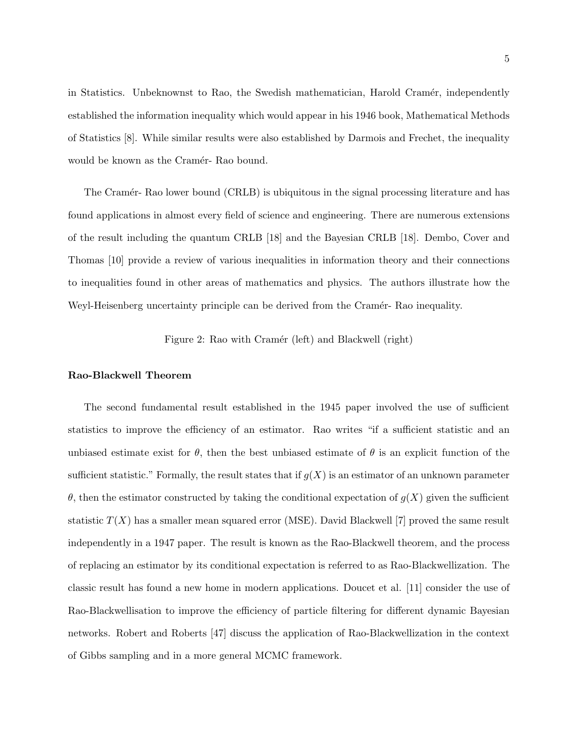in Statistics. Unbeknownst to Rao, the Swedish mathematician, Harold Cramér, independently established the information inequality which would appear in his 1946 book, Mathematical Methods of Statistics [8]. While similar results were also established by Darmois and Frechet, the inequality would be known as the Cramér- Rao bound.

The Cramér- Rao lower bound (CRLB) is ubiquitous in the signal processing literature and has found applications in almost every field of science and engineering. There are numerous extensions of the result including the quantum CRLB [18] and the Bayesian CRLB [18]. Dembo, Cover and Thomas [10] provide a review of various inequalities in information theory and their connections to inequalities found in other areas of mathematics and physics. The authors illustrate how the Weyl-Heisenberg uncertainty principle can be derived from the Cramér- Rao inequality.

Figure 2: Rao with Cramér (left) and Blackwell (right)

#### Rao-Blackwell Theorem

The second fundamental result established in the 1945 paper involved the use of sufficient statistics to improve the efficiency of an estimator. Rao writes "if a sufficient statistic and an unbiased estimate exist for  $\theta$ , then the best unbiased estimate of  $\theta$  is an explicit function of the sufficient statistic." Formally, the result states that if  $g(X)$  is an estimator of an unknown parameter θ, then the estimator constructed by taking the conditional expectation of g(X) given the sufficient statistic  $T(X)$  has a smaller mean squared error (MSE). David Blackwell [7] proved the same result independently in a 1947 paper. The result is known as the Rao-Blackwell theorem, and the process of replacing an estimator by its conditional expectation is referred to as Rao-Blackwellization. The classic result has found a new home in modern applications. Doucet et al. [11] consider the use of Rao-Blackwellisation to improve the efficiency of particle filtering for different dynamic Bayesian networks. Robert and Roberts [47] discuss the application of Rao-Blackwellization in the context of Gibbs sampling and in a more general MCMC framework.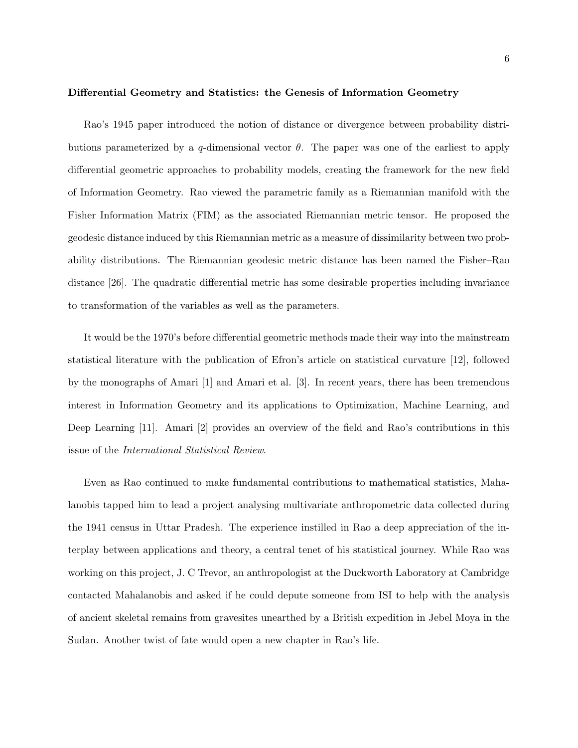Rao's 1945 paper introduced the notion of distance or divergence between probability distributions parameterized by a q-dimensional vector  $\theta$ . The paper was one of the earliest to apply differential geometric approaches to probability models, creating the framework for the new field of Information Geometry. Rao viewed the parametric family as a Riemannian manifold with the Fisher Information Matrix (FIM) as the associated Riemannian metric tensor. He proposed the geodesic distance induced by this Riemannian metric as a measure of dissimilarity between two probability distributions. The Riemannian geodesic metric distance has been named the Fisher–Rao distance [26]. The quadratic differential metric has some desirable properties including invariance to transformation of the variables as well as the parameters.

It would be the 1970's before differential geometric methods made their way into the mainstream statistical literature with the publication of Efron's article on statistical curvature [12], followed by the monographs of Amari [1] and Amari et al. [3]. In recent years, there has been tremendous interest in Information Geometry and its applications to Optimization, Machine Learning, and Deep Learning [11]. Amari [2] provides an overview of the field and Rao's contributions in this issue of the International Statistical Review.

Even as Rao continued to make fundamental contributions to mathematical statistics, Mahalanobis tapped him to lead a project analysing multivariate anthropometric data collected during the 1941 census in Uttar Pradesh. The experience instilled in Rao a deep appreciation of the interplay between applications and theory, a central tenet of his statistical journey. While Rao was working on this project, J. C Trevor, an anthropologist at the Duckworth Laboratory at Cambridge contacted Mahalanobis and asked if he could depute someone from ISI to help with the analysis of ancient skeletal remains from gravesites unearthed by a British expedition in Jebel Moya in the Sudan. Another twist of fate would open a new chapter in Rao's life.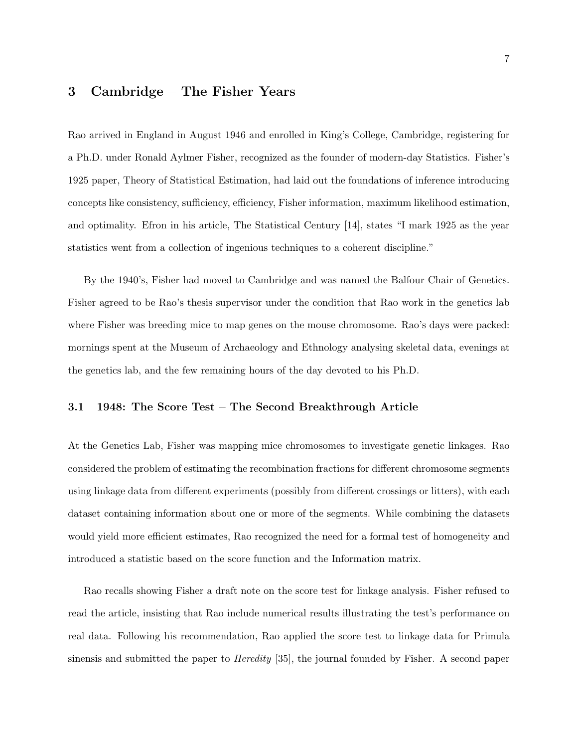# 3 Cambridge – The Fisher Years

Rao arrived in England in August 1946 and enrolled in King's College, Cambridge, registering for a Ph.D. under Ronald Aylmer Fisher, recognized as the founder of modern-day Statistics. Fisher's 1925 paper, Theory of Statistical Estimation, had laid out the foundations of inference introducing concepts like consistency, sufficiency, efficiency, Fisher information, maximum likelihood estimation, and optimality. Efron in his article, The Statistical Century [14], states "I mark 1925 as the year statistics went from a collection of ingenious techniques to a coherent discipline."

By the 1940's, Fisher had moved to Cambridge and was named the Balfour Chair of Genetics. Fisher agreed to be Rao's thesis supervisor under the condition that Rao work in the genetics lab where Fisher was breeding mice to map genes on the mouse chromosome. Rao's days were packed: mornings spent at the Museum of Archaeology and Ethnology analysing skeletal data, evenings at the genetics lab, and the few remaining hours of the day devoted to his Ph.D.

### 3.1 1948: The Score Test – The Second Breakthrough Article

At the Genetics Lab, Fisher was mapping mice chromosomes to investigate genetic linkages. Rao considered the problem of estimating the recombination fractions for different chromosome segments using linkage data from different experiments (possibly from different crossings or litters), with each dataset containing information about one or more of the segments. While combining the datasets would yield more efficient estimates, Rao recognized the need for a formal test of homogeneity and introduced a statistic based on the score function and the Information matrix.

Rao recalls showing Fisher a draft note on the score test for linkage analysis. Fisher refused to read the article, insisting that Rao include numerical results illustrating the test's performance on real data. Following his recommendation, Rao applied the score test to linkage data for Primula sinensis and submitted the paper to *Heredity* [35], the journal founded by Fisher. A second paper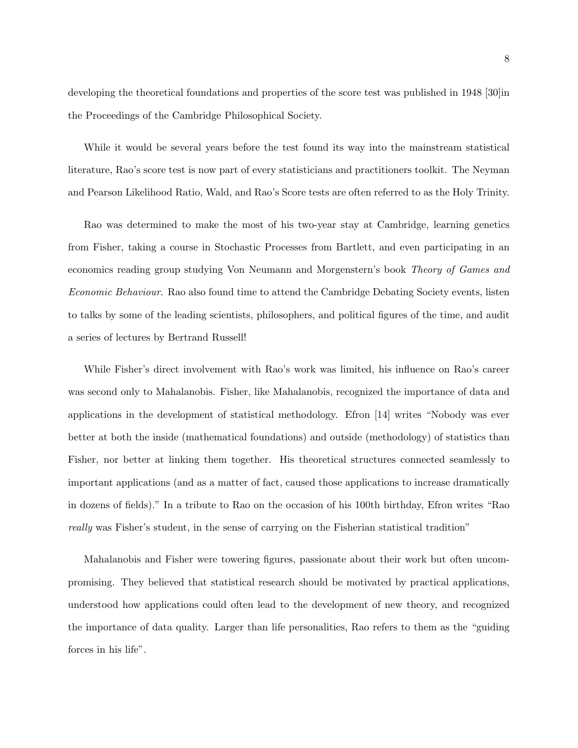developing the theoretical foundations and properties of the score test was published in 1948 [30]in the Proceedings of the Cambridge Philosophical Society.

While it would be several years before the test found its way into the mainstream statistical literature, Rao's score test is now part of every statisticians and practitioners toolkit. The Neyman and Pearson Likelihood Ratio, Wald, and Rao's Score tests are often referred to as the Holy Trinity.

Rao was determined to make the most of his two-year stay at Cambridge, learning genetics from Fisher, taking a course in Stochastic Processes from Bartlett, and even participating in an economics reading group studying Von Neumann and Morgenstern's book Theory of Games and Economic Behaviour. Rao also found time to attend the Cambridge Debating Society events, listen to talks by some of the leading scientists, philosophers, and political figures of the time, and audit a series of lectures by Bertrand Russell!

While Fisher's direct involvement with Rao's work was limited, his influence on Rao's career was second only to Mahalanobis. Fisher, like Mahalanobis, recognized the importance of data and applications in the development of statistical methodology. Efron [14] writes "Nobody was ever better at both the inside (mathematical foundations) and outside (methodology) of statistics than Fisher, nor better at linking them together. His theoretical structures connected seamlessly to important applications (and as a matter of fact, caused those applications to increase dramatically in dozens of fields)." In a tribute to Rao on the occasion of his 100th birthday, Efron writes "Rao really was Fisher's student, in the sense of carrying on the Fisherian statistical tradition"

Mahalanobis and Fisher were towering figures, passionate about their work but often uncompromising. They believed that statistical research should be motivated by practical applications, understood how applications could often lead to the development of new theory, and recognized the importance of data quality. Larger than life personalities, Rao refers to them as the "guiding forces in his life".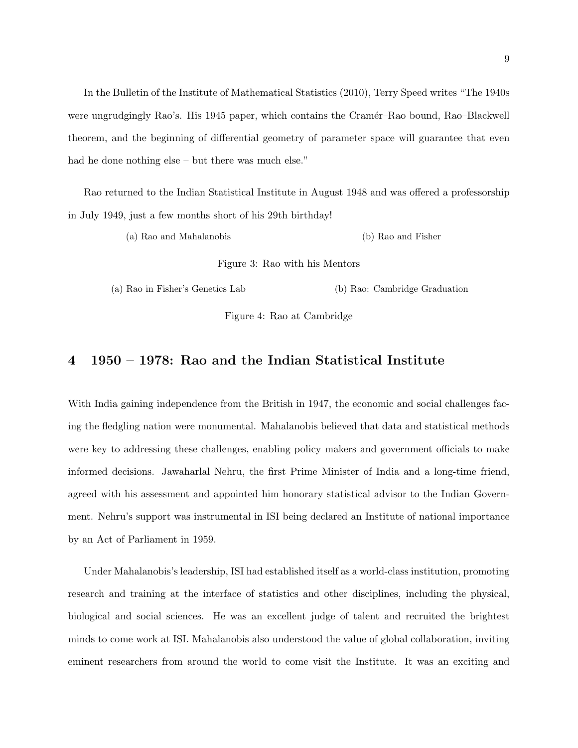In the Bulletin of the Institute of Mathematical Statistics (2010), Terry Speed writes "The 1940s were ungrudgingly Rao's. His 1945 paper, which contains the Cramér–Rao bound, Rao–Blackwell theorem, and the beginning of differential geometry of parameter space will guarantee that even had he done nothing else – but there was much else."

Rao returned to the Indian Statistical Institute in August 1948 and was offered a professorship in July 1949, just a few months short of his 29th birthday!

(a) Rao and Mahalanobis (b) Rao and Fisher

Figure 3: Rao with his Mentors

(a) Rao in Fisher's Genetics Lab (b) Rao: Cambridge Graduation

Figure 4: Rao at Cambridge

# 4 1950 – 1978: Rao and the Indian Statistical Institute

With India gaining independence from the British in 1947, the economic and social challenges facing the fledgling nation were monumental. Mahalanobis believed that data and statistical methods were key to addressing these challenges, enabling policy makers and government officials to make informed decisions. Jawaharlal Nehru, the first Prime Minister of India and a long-time friend, agreed with his assessment and appointed him honorary statistical advisor to the Indian Government. Nehru's support was instrumental in ISI being declared an Institute of national importance by an Act of Parliament in 1959.

Under Mahalanobis's leadership, ISI had established itself as a world-class institution, promoting research and training at the interface of statistics and other disciplines, including the physical, biological and social sciences. He was an excellent judge of talent and recruited the brightest minds to come work at ISI. Mahalanobis also understood the value of global collaboration, inviting eminent researchers from around the world to come visit the Institute. It was an exciting and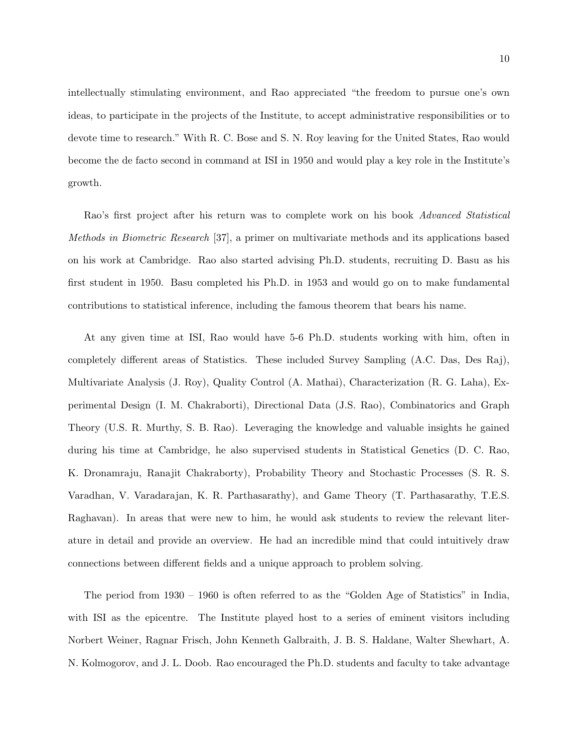intellectually stimulating environment, and Rao appreciated "the freedom to pursue one's own ideas, to participate in the projects of the Institute, to accept administrative responsibilities or to devote time to research." With R. C. Bose and S. N. Roy leaving for the United States, Rao would become the de facto second in command at ISI in 1950 and would play a key role in the Institute's growth.

Rao's first project after his return was to complete work on his book Advanced Statistical Methods in Biometric Research [37], a primer on multivariate methods and its applications based on his work at Cambridge. Rao also started advising Ph.D. students, recruiting D. Basu as his first student in 1950. Basu completed his Ph.D. in 1953 and would go on to make fundamental contributions to statistical inference, including the famous theorem that bears his name.

At any given time at ISI, Rao would have 5-6 Ph.D. students working with him, often in completely different areas of Statistics. These included Survey Sampling (A.C. Das, Des Raj), Multivariate Analysis (J. Roy), Quality Control (A. Mathai), Characterization (R. G. Laha), Experimental Design (I. M. Chakraborti), Directional Data (J.S. Rao), Combinatorics and Graph Theory (U.S. R. Murthy, S. B. Rao). Leveraging the knowledge and valuable insights he gained during his time at Cambridge, he also supervised students in Statistical Genetics (D. C. Rao, K. Dronamraju, Ranajit Chakraborty), Probability Theory and Stochastic Processes (S. R. S. Varadhan, V. Varadarajan, K. R. Parthasarathy), and Game Theory (T. Parthasarathy, T.E.S. Raghavan). In areas that were new to him, he would ask students to review the relevant literature in detail and provide an overview. He had an incredible mind that could intuitively draw connections between different fields and a unique approach to problem solving.

The period from 1930 – 1960 is often referred to as the "Golden Age of Statistics" in India, with ISI as the epicentre. The Institute played host to a series of eminent visitors including Norbert Weiner, Ragnar Frisch, John Kenneth Galbraith, J. B. S. Haldane, Walter Shewhart, A. N. Kolmogorov, and J. L. Doob. Rao encouraged the Ph.D. students and faculty to take advantage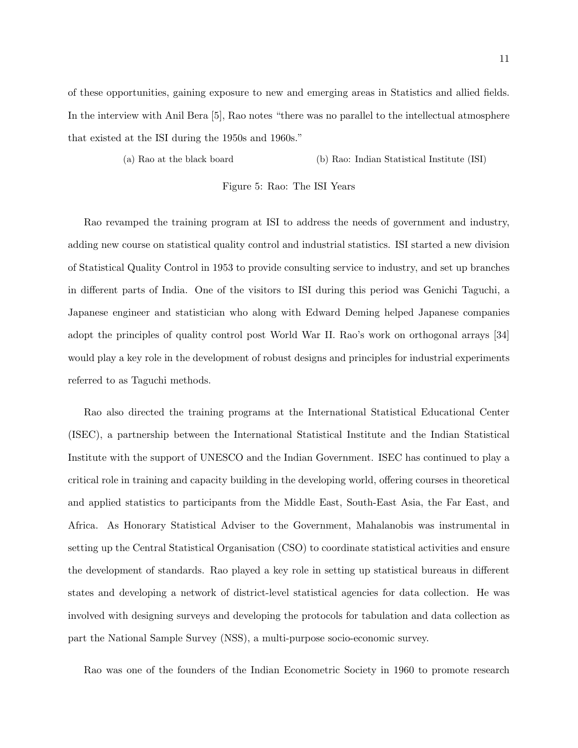of these opportunities, gaining exposure to new and emerging areas in Statistics and allied fields. In the interview with Anil Bera [5], Rao notes "there was no parallel to the intellectual atmosphere that existed at the ISI during the 1950s and 1960s."

(a) Rao at the black board (b) Rao: Indian Statistical Institute (ISI)

Figure 5: Rao: The ISI Years

Rao revamped the training program at ISI to address the needs of government and industry, adding new course on statistical quality control and industrial statistics. ISI started a new division of Statistical Quality Control in 1953 to provide consulting service to industry, and set up branches in different parts of India. One of the visitors to ISI during this period was Genichi Taguchi, a Japanese engineer and statistician who along with Edward Deming helped Japanese companies adopt the principles of quality control post World War II. Rao's work on orthogonal arrays [34] would play a key role in the development of robust designs and principles for industrial experiments referred to as Taguchi methods.

Rao also directed the training programs at the International Statistical Educational Center (ISEC), a partnership between the International Statistical Institute and the Indian Statistical Institute with the support of UNESCO and the Indian Government. ISEC has continued to play a critical role in training and capacity building in the developing world, offering courses in theoretical and applied statistics to participants from the Middle East, South-East Asia, the Far East, and Africa. As Honorary Statistical Adviser to the Government, Mahalanobis was instrumental in setting up the Central Statistical Organisation (CSO) to coordinate statistical activities and ensure the development of standards. Rao played a key role in setting up statistical bureaus in different states and developing a network of district-level statistical agencies for data collection. He was involved with designing surveys and developing the protocols for tabulation and data collection as part the National Sample Survey (NSS), a multi-purpose socio-economic survey.

Rao was one of the founders of the Indian Econometric Society in 1960 to promote research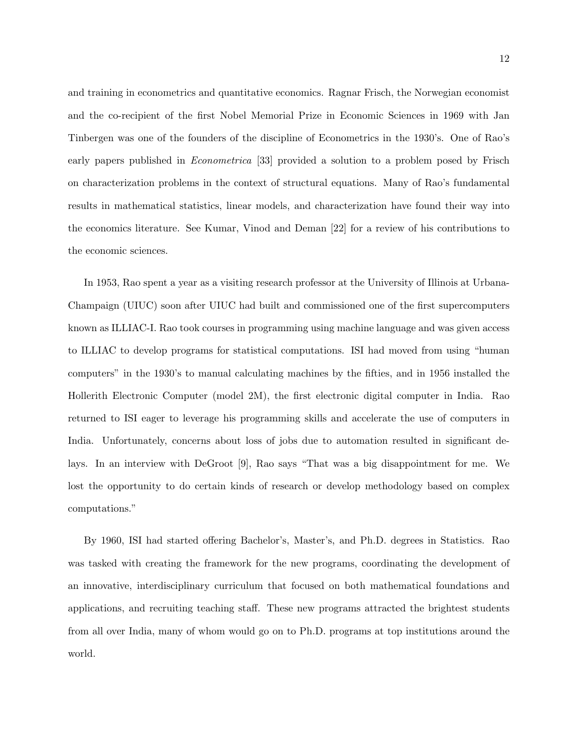and training in econometrics and quantitative economics. Ragnar Frisch, the Norwegian economist and the co-recipient of the first Nobel Memorial Prize in Economic Sciences in 1969 with Jan Tinbergen was one of the founders of the discipline of Econometrics in the 1930's. One of Rao's early papers published in *Econometrica* [33] provided a solution to a problem posed by Frisch on characterization problems in the context of structural equations. Many of Rao's fundamental results in mathematical statistics, linear models, and characterization have found their way into the economics literature. See Kumar, Vinod and Deman [22] for a review of his contributions to the economic sciences.

In 1953, Rao spent a year as a visiting research professor at the University of Illinois at Urbana-Champaign (UIUC) soon after UIUC had built and commissioned one of the first supercomputers known as ILLIAC-I. Rao took courses in programming using machine language and was given access to ILLIAC to develop programs for statistical computations. ISI had moved from using "human computers" in the 1930's to manual calculating machines by the fifties, and in 1956 installed the Hollerith Electronic Computer (model 2M), the first electronic digital computer in India. Rao returned to ISI eager to leverage his programming skills and accelerate the use of computers in India. Unfortunately, concerns about loss of jobs due to automation resulted in significant delays. In an interview with DeGroot [9], Rao says "That was a big disappointment for me. We lost the opportunity to do certain kinds of research or develop methodology based on complex computations."

By 1960, ISI had started offering Bachelor's, Master's, and Ph.D. degrees in Statistics. Rao was tasked with creating the framework for the new programs, coordinating the development of an innovative, interdisciplinary curriculum that focused on both mathematical foundations and applications, and recruiting teaching staff. These new programs attracted the brightest students from all over India, many of whom would go on to Ph.D. programs at top institutions around the world.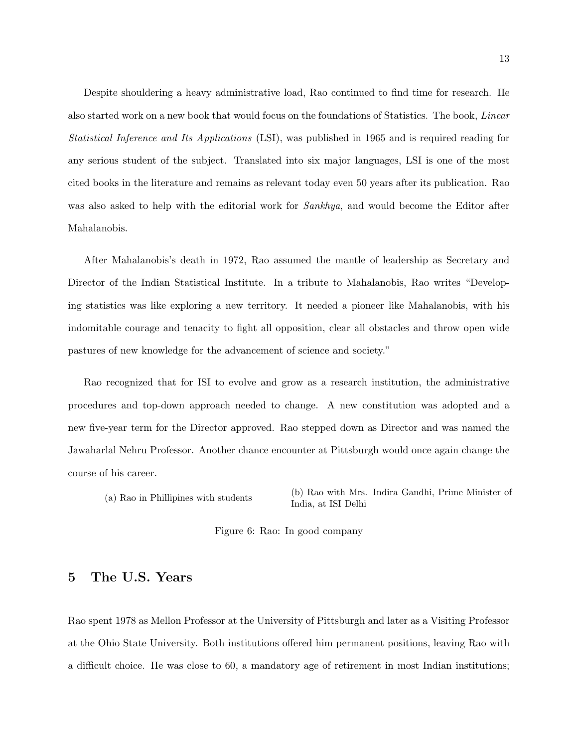Despite shouldering a heavy administrative load, Rao continued to find time for research. He also started work on a new book that would focus on the foundations of Statistics. The book, Linear Statistical Inference and Its Applications (LSI), was published in 1965 and is required reading for any serious student of the subject. Translated into six major languages, LSI is one of the most cited books in the literature and remains as relevant today even 50 years after its publication. Rao was also asked to help with the editorial work for *Sankhya*, and would become the Editor after Mahalanobis.

After Mahalanobis's death in 1972, Rao assumed the mantle of leadership as Secretary and Director of the Indian Statistical Institute. In a tribute to Mahalanobis, Rao writes "Developing statistics was like exploring a new territory. It needed a pioneer like Mahalanobis, with his indomitable courage and tenacity to fight all opposition, clear all obstacles and throw open wide pastures of new knowledge for the advancement of science and society."

Rao recognized that for ISI to evolve and grow as a research institution, the administrative procedures and top-down approach needed to change. A new constitution was adopted and a new five-year term for the Director approved. Rao stepped down as Director and was named the Jawaharlal Nehru Professor. Another chance encounter at Pittsburgh would once again change the course of his career.

(a) Rao in Phillipines with students (b) Rao with Mrs. Indira Gandhi, Prime Minister of India, at ISI Delhi

Figure 6: Rao: In good company

# 5 The U.S. Years

Rao spent 1978 as Mellon Professor at the University of Pittsburgh and later as a Visiting Professor at the Ohio State University. Both institutions offered him permanent positions, leaving Rao with a difficult choice. He was close to 60, a mandatory age of retirement in most Indian institutions;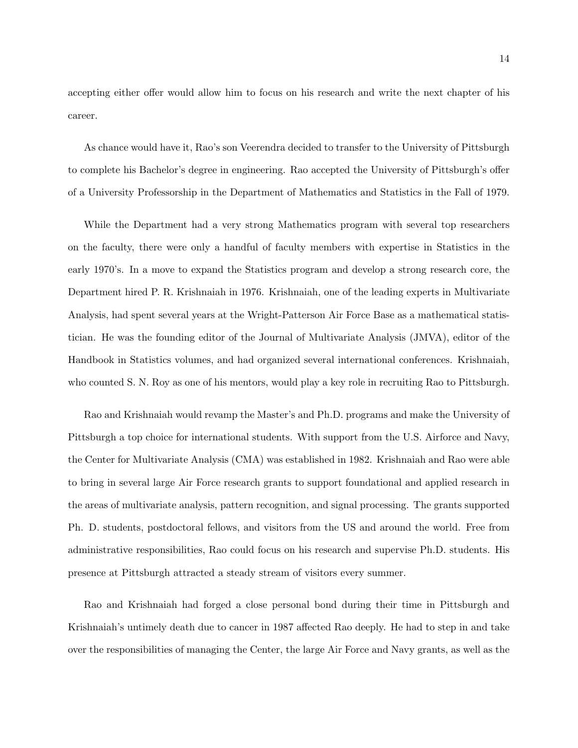accepting either offer would allow him to focus on his research and write the next chapter of his career.

As chance would have it, Rao's son Veerendra decided to transfer to the University of Pittsburgh to complete his Bachelor's degree in engineering. Rao accepted the University of Pittsburgh's offer of a University Professorship in the Department of Mathematics and Statistics in the Fall of 1979.

While the Department had a very strong Mathematics program with several top researchers on the faculty, there were only a handful of faculty members with expertise in Statistics in the early 1970's. In a move to expand the Statistics program and develop a strong research core, the Department hired P. R. Krishnaiah in 1976. Krishnaiah, one of the leading experts in Multivariate Analysis, had spent several years at the Wright-Patterson Air Force Base as a mathematical statistician. He was the founding editor of the Journal of Multivariate Analysis (JMVA), editor of the Handbook in Statistics volumes, and had organized several international conferences. Krishnaiah, who counted S. N. Roy as one of his mentors, would play a key role in recruiting Rao to Pittsburgh.

Rao and Krishnaiah would revamp the Master's and Ph.D. programs and make the University of Pittsburgh a top choice for international students. With support from the U.S. Airforce and Navy, the Center for Multivariate Analysis (CMA) was established in 1982. Krishnaiah and Rao were able to bring in several large Air Force research grants to support foundational and applied research in the areas of multivariate analysis, pattern recognition, and signal processing. The grants supported Ph. D. students, postdoctoral fellows, and visitors from the US and around the world. Free from administrative responsibilities, Rao could focus on his research and supervise Ph.D. students. His presence at Pittsburgh attracted a steady stream of visitors every summer.

Rao and Krishnaiah had forged a close personal bond during their time in Pittsburgh and Krishnaiah's untimely death due to cancer in 1987 affected Rao deeply. He had to step in and take over the responsibilities of managing the Center, the large Air Force and Navy grants, as well as the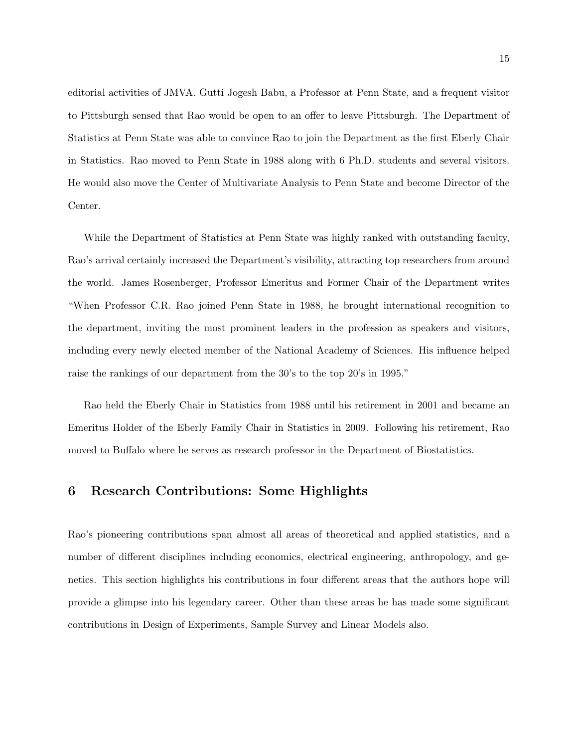editorial activities of JMVA. Gutti Jogesh Babu, a Professor at Penn State, and a frequent visitor to Pittsburgh sensed that Rao would be open to an offer to leave Pittsburgh. The Department of Statistics at Penn State was able to convince Rao to join the Department as the first Eberly Chair in Statistics. Rao moved to Penn State in 1988 along with 6 Ph.D. students and several visitors. He would also move the Center of Multivariate Analysis to Penn State and become Director of the Center.

While the Department of Statistics at Penn State was highly ranked with outstanding faculty, Rao's arrival certainly increased the Department's visibility, attracting top researchers from around the world. James Rosenberger, Professor Emeritus and Former Chair of the Department writes "When Professor C.R. Rao joined Penn State in 1988, he brought international recognition to the department, inviting the most prominent leaders in the profession as speakers and visitors, including every newly elected member of the National Academy of Sciences. His influence helped raise the rankings of our department from the 30's to the top 20's in 1995."

Rao held the Eberly Chair in Statistics from 1988 until his retirement in 2001 and became an Emeritus Holder of the Eberly Family Chair in Statistics in 2009. Following his retirement, Rao moved to Buffalo where he serves as research professor in the Department of Biostatistics.

## 6 Research Contributions: Some Highlights

Rao's pioneering contributions span almost all areas of theoretical and applied statistics, and a number of different disciplines including economics, electrical engineering, anthropology, and genetics. This section highlights his contributions in four different areas that the authors hope will provide a glimpse into his legendary career. Other than these areas he has made some significant contributions in Design of Experiments, Sample Survey and Linear Models also.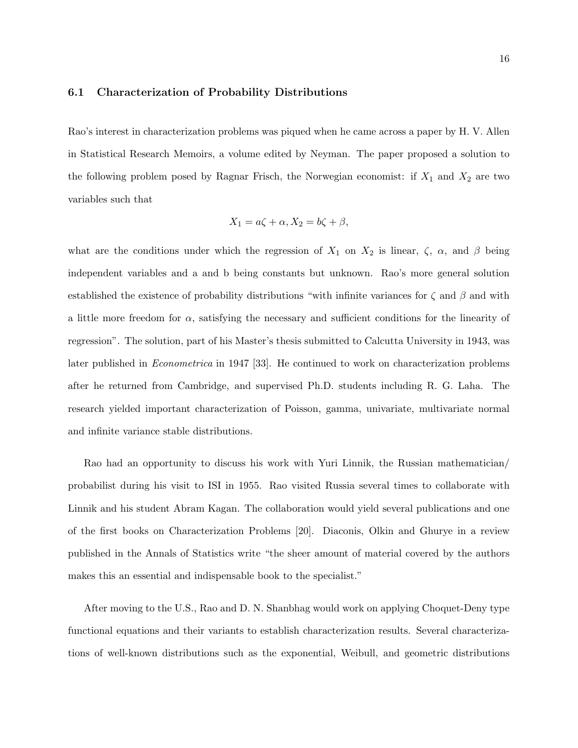#### 6.1 Characterization of Probability Distributions

Rao's interest in characterization problems was piqued when he came across a paper by H. V. Allen in Statistical Research Memoirs, a volume edited by Neyman. The paper proposed a solution to the following problem posed by Ragnar Frisch, the Norwegian economist: if  $X_1$  and  $X_2$  are two variables such that

$$
X_1 = a\zeta + \alpha, X_2 = b\zeta + \beta,
$$

what are the conditions under which the regression of  $X_1$  on  $X_2$  is linear,  $\zeta$ ,  $\alpha$ , and  $\beta$  being independent variables and a and b being constants but unknown. Rao's more general solution established the existence of probability distributions "with infinite variances for  $\zeta$  and  $\beta$  and with a little more freedom for  $\alpha$ , satisfying the necessary and sufficient conditions for the linearity of regression". The solution, part of his Master's thesis submitted to Calcutta University in 1943, was later published in Econometrica in 1947 [33]. He continued to work on characterization problems after he returned from Cambridge, and supervised Ph.D. students including R. G. Laha. The research yielded important characterization of Poisson, gamma, univariate, multivariate normal and infinite variance stable distributions.

Rao had an opportunity to discuss his work with Yuri Linnik, the Russian mathematician/ probabilist during his visit to ISI in 1955. Rao visited Russia several times to collaborate with Linnik and his student Abram Kagan. The collaboration would yield several publications and one of the first books on Characterization Problems [20]. Diaconis, Olkin and Ghurye in a review published in the Annals of Statistics write "the sheer amount of material covered by the authors makes this an essential and indispensable book to the specialist."

After moving to the U.S., Rao and D. N. Shanbhag would work on applying Choquet-Deny type functional equations and their variants to establish characterization results. Several characterizations of well-known distributions such as the exponential, Weibull, and geometric distributions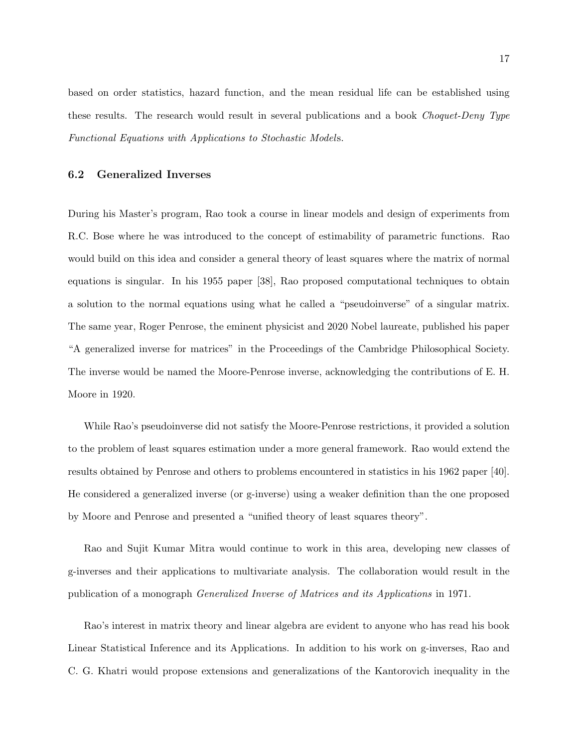based on order statistics, hazard function, and the mean residual life can be established using these results. The research would result in several publications and a book Choquet-Deny Type Functional Equations with Applications to Stochastic Models.

### 6.2 Generalized Inverses

During his Master's program, Rao took a course in linear models and design of experiments from R.C. Bose where he was introduced to the concept of estimability of parametric functions. Rao would build on this idea and consider a general theory of least squares where the matrix of normal equations is singular. In his 1955 paper [38], Rao proposed computational techniques to obtain a solution to the normal equations using what he called a "pseudoinverse" of a singular matrix. The same year, Roger Penrose, the eminent physicist and 2020 Nobel laureate, published his paper "A generalized inverse for matrices" in the Proceedings of the Cambridge Philosophical Society. The inverse would be named the Moore-Penrose inverse, acknowledging the contributions of E. H. Moore in 1920.

While Rao's pseudoinverse did not satisfy the Moore-Penrose restrictions, it provided a solution to the problem of least squares estimation under a more general framework. Rao would extend the results obtained by Penrose and others to problems encountered in statistics in his 1962 paper [40]. He considered a generalized inverse (or g-inverse) using a weaker definition than the one proposed by Moore and Penrose and presented a "unified theory of least squares theory".

Rao and Sujit Kumar Mitra would continue to work in this area, developing new classes of g-inverses and their applications to multivariate analysis. The collaboration would result in the publication of a monograph Generalized Inverse of Matrices and its Applications in 1971.

Rao's interest in matrix theory and linear algebra are evident to anyone who has read his book Linear Statistical Inference and its Applications. In addition to his work on g-inverses, Rao and C. G. Khatri would propose extensions and generalizations of the Kantorovich inequality in the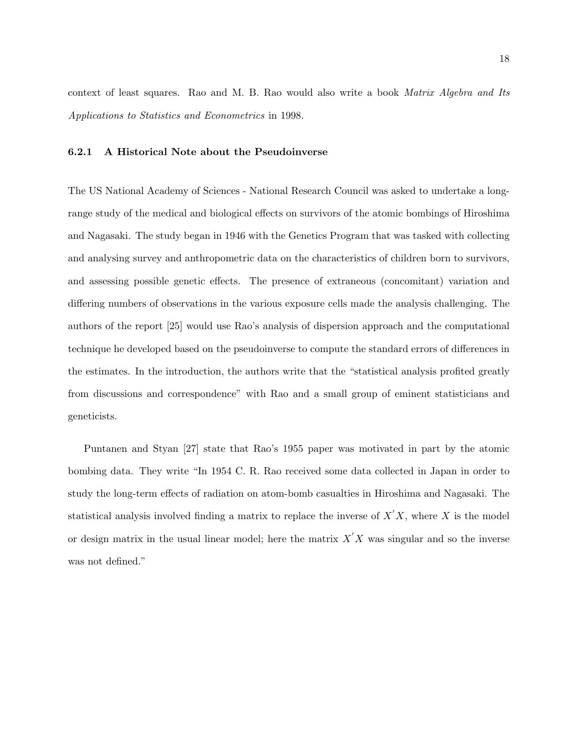context of least squares. Rao and M. B. Rao would also write a book Matrix Algebra and Its Applications to Statistics and Econometrics in 1998.

#### 6.2.1 A Historical Note about the Pseudoinverse

The US National Academy of Sciences - National Research Council was asked to undertake a longrange study of the medical and biological effects on survivors of the atomic bombings of Hiroshima and Nagasaki. The study began in 1946 with the Genetics Program that was tasked with collecting and analysing survey and anthropometric data on the characteristics of children born to survivors, and assessing possible genetic effects. The presence of extraneous (concomitant) variation and differing numbers of observations in the various exposure cells made the analysis challenging. The authors of the report [25] would use Rao's analysis of dispersion approach and the computational technique he developed based on the pseudoinverse to compute the standard errors of differences in the estimates. In the introduction, the authors write that the "statistical analysis profited greatly from discussions and correspondence" with Rao and a small group of eminent statisticians and geneticists.

Puntanen and Styan [27] state that Rao's 1955 paper was motivated in part by the atomic bombing data. They write "In 1954 C. R. Rao received some data collected in Japan in order to study the long-term effects of radiation on atom-bomb casualties in Hiroshima and Nagasaki. The statistical analysis involved finding a matrix to replace the inverse of  $X'X$ , where X is the model or design matrix in the usual linear model; here the matrix  $X'X$  was singular and so the inverse was not defined."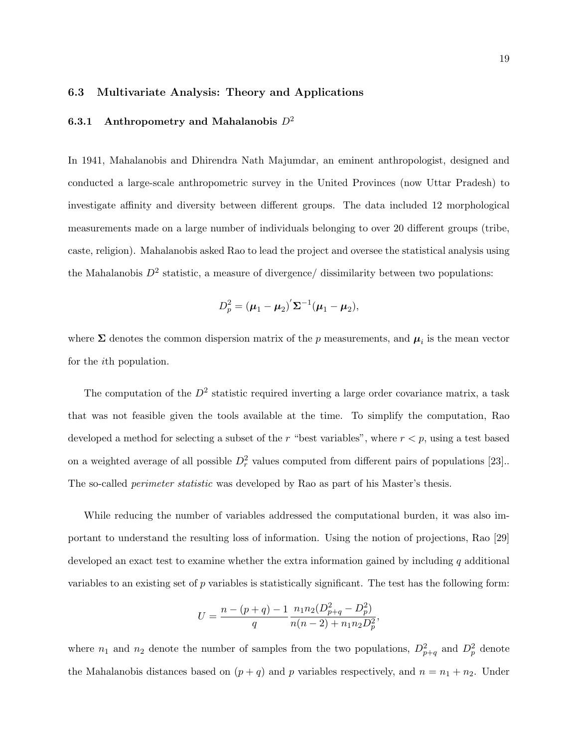### 6.3 Multivariate Analysis: Theory and Applications

### 6.3.1 Anthropometry and Mahalanobis  $D^2$

In 1941, Mahalanobis and Dhirendra Nath Majumdar, an eminent anthropologist, designed and conducted a large-scale anthropometric survey in the United Provinces (now Uttar Pradesh) to investigate affinity and diversity between different groups. The data included 12 morphological measurements made on a large number of individuals belonging to over 20 different groups (tribe, caste, religion). Mahalanobis asked Rao to lead the project and oversee the statistical analysis using the Mahalanobis  $D^2$  statistic, a measure of divergence/ dissimilarity between two populations:

$$
D_p^2 = (\mu_1 - \mu_2)' \Sigma^{-1} (\mu_1 - \mu_2),
$$

where  $\Sigma$  denotes the common dispersion matrix of the p measurements, and  $\mu_i$  is the mean vector for the ith population.

The computation of the  $D^2$  statistic required inverting a large order covariance matrix, a task that was not feasible given the tools available at the time. To simplify the computation, Rao developed a method for selecting a subset of the r "best variables", where  $r < p$ , using a test based on a weighted average of all possible  $D_r^2$  values computed from different pairs of populations [23]. The so-called *perimeter statistic* was developed by Rao as part of his Master's thesis.

While reducing the number of variables addressed the computational burden, it was also important to understand the resulting loss of information. Using the notion of projections, Rao [29] developed an exact test to examine whether the extra information gained by including  $q$  additional variables to an existing set of p variables is statistically significant. The test has the following form:

$$
U = \frac{n - (p + q) - 1}{q} \frac{n_1 n_2 (D_{p+q}^2 - D_p^2)}{n(n-2) + n_1 n_2 D_p^2},
$$

where  $n_1$  and  $n_2$  denote the number of samples from the two populations,  $D_{p+q}^2$  and  $D_p^2$  denote the Mahalanobis distances based on  $(p+q)$  and p variables respectively, and  $n = n_1 + n_2$ . Under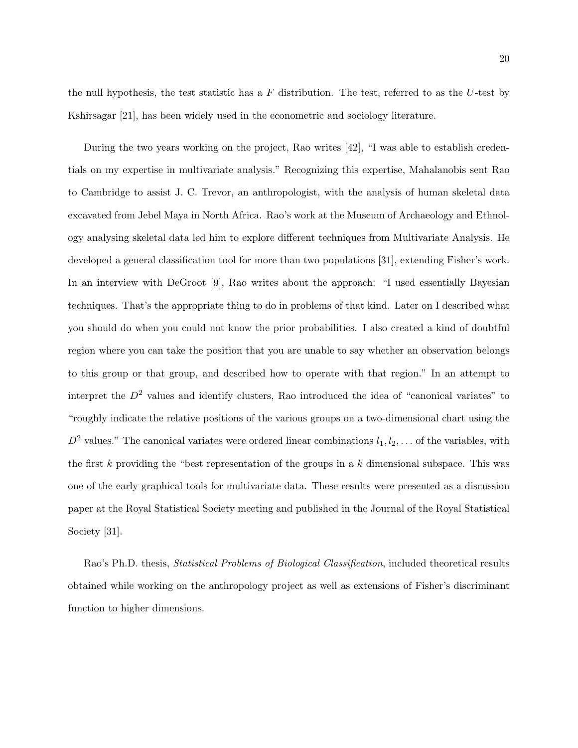the null hypothesis, the test statistic has a  $F$  distribution. The test, referred to as the  $U$ -test by Kshirsagar [21], has been widely used in the econometric and sociology literature.

During the two years working on the project, Rao writes [42], "I was able to establish credentials on my expertise in multivariate analysis." Recognizing this expertise, Mahalanobis sent Rao to Cambridge to assist J. C. Trevor, an anthropologist, with the analysis of human skeletal data excavated from Jebel Maya in North Africa. Rao's work at the Museum of Archaeology and Ethnology analysing skeletal data led him to explore different techniques from Multivariate Analysis. He developed a general classification tool for more than two populations [31], extending Fisher's work. In an interview with DeGroot [9], Rao writes about the approach: "I used essentially Bayesian techniques. That's the appropriate thing to do in problems of that kind. Later on I described what you should do when you could not know the prior probabilities. I also created a kind of doubtful region where you can take the position that you are unable to say whether an observation belongs to this group or that group, and described how to operate with that region." In an attempt to interpret the  $D^2$  values and identify clusters, Rao introduced the idea of "canonical variates" to "roughly indicate the relative positions of the various groups on a two-dimensional chart using the  $D^2$  values." The canonical variates were ordered linear combinations  $l_1, l_2, \ldots$  of the variables, with the first k providing the "best representation of the groups in a k dimensional subspace. This was one of the early graphical tools for multivariate data. These results were presented as a discussion paper at the Royal Statistical Society meeting and published in the Journal of the Royal Statistical Society [31].

Rao's Ph.D. thesis, Statistical Problems of Biological Classification, included theoretical results obtained while working on the anthropology project as well as extensions of Fisher's discriminant function to higher dimensions.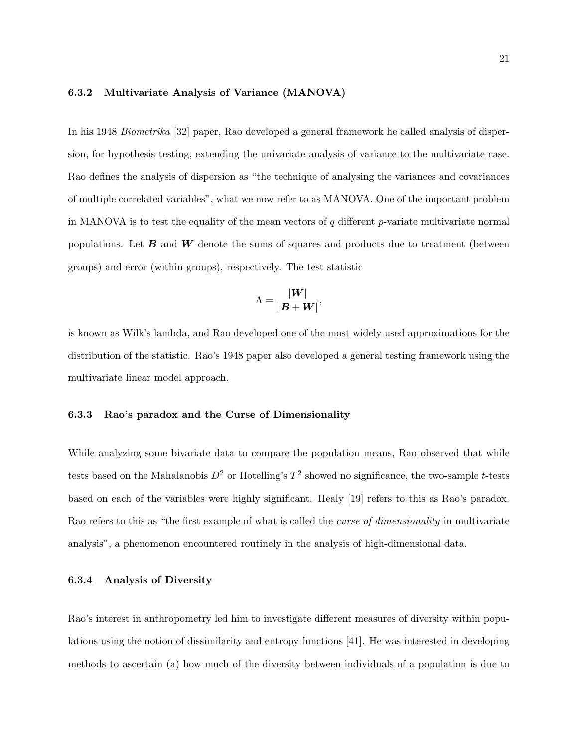### 6.3.2 Multivariate Analysis of Variance (MANOVA)

In his 1948 Biometrika [32] paper, Rao developed a general framework he called analysis of dispersion, for hypothesis testing, extending the univariate analysis of variance to the multivariate case. Rao defines the analysis of dispersion as "the technique of analysing the variances and covariances of multiple correlated variables", what we now refer to as MANOVA. One of the important problem in MANOVA is to test the equality of the mean vectors of  $q$  different p-variate multivariate normal populations. Let  $\bm{B}$  and  $\bm{W}$  denote the sums of squares and products due to treatment (between groups) and error (within groups), respectively. The test statistic

$$
\Lambda = \frac{|W|}{|B+W|},
$$

is known as Wilk's lambda, and Rao developed one of the most widely used approximations for the distribution of the statistic. Rao's 1948 paper also developed a general testing framework using the multivariate linear model approach.

### 6.3.3 Rao's paradox and the Curse of Dimensionality

While analyzing some bivariate data to compare the population means, Rao observed that while tests based on the Mahalanobis  $D^2$  or Hotelling's  $T^2$  showed no significance, the two-sample t-tests based on each of the variables were highly significant. Healy [19] refers to this as Rao's paradox. Rao refers to this as "the first example of what is called the *curse of dimensionality* in multivariate analysis", a phenomenon encountered routinely in the analysis of high-dimensional data.

#### 6.3.4 Analysis of Diversity

Rao's interest in anthropometry led him to investigate different measures of diversity within populations using the notion of dissimilarity and entropy functions [41]. He was interested in developing methods to ascertain (a) how much of the diversity between individuals of a population is due to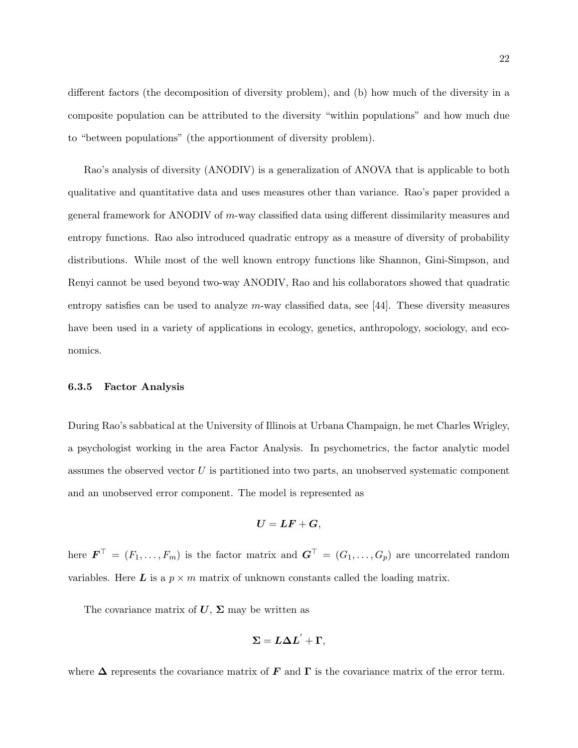different factors (the decomposition of diversity problem), and (b) how much of the diversity in a composite population can be attributed to the diversity "within populations" and how much due to "between populations" (the apportionment of diversity problem).

Rao's analysis of diversity (ANODIV) is a generalization of ANOVA that is applicable to both qualitative and quantitative data and uses measures other than variance. Rao's paper provided a general framework for ANODIV of m-way classified data using different dissimilarity measures and entropy functions. Rao also introduced quadratic entropy as a measure of diversity of probability distributions. While most of the well known entropy functions like Shannon, Gini-Simpson, and Renyi cannot be used beyond two-way ANODIV, Rao and his collaborators showed that quadratic entropy satisfies can be used to analyze  $m$ -way classified data, see [44]. These diversity measures have been used in a variety of applications in ecology, genetics, anthropology, sociology, and economics.

#### 6.3.5 Factor Analysis

During Rao's sabbatical at the University of Illinois at Urbana Champaign, he met Charles Wrigley, a psychologist working in the area Factor Analysis. In psychometrics, the factor analytic model assumes the observed vector  $U$  is partitioned into two parts, an unobserved systematic component and an unobserved error component. The model is represented as

$$
\boldsymbol{U}=\boldsymbol{L}\boldsymbol{F}+\boldsymbol{G},
$$

here  $\boldsymbol{F}^{\top} = (F_1, \ldots, F_m)$  is the factor matrix and  $\boldsymbol{G}^{\top} = (G_1, \ldots, G_p)$  are uncorrelated random variables. Here L is a  $p \times m$  matrix of unknown constants called the loading matrix.

The covariance matrix of  $U$ ,  $\Sigma$  may be written as

$$
\boldsymbol{\Sigma} = \boldsymbol{L}\boldsymbol{\Delta L}' + \boldsymbol{\Gamma},
$$

where  $\Delta$  represents the covariance matrix of F and  $\Gamma$  is the covariance matrix of the error term.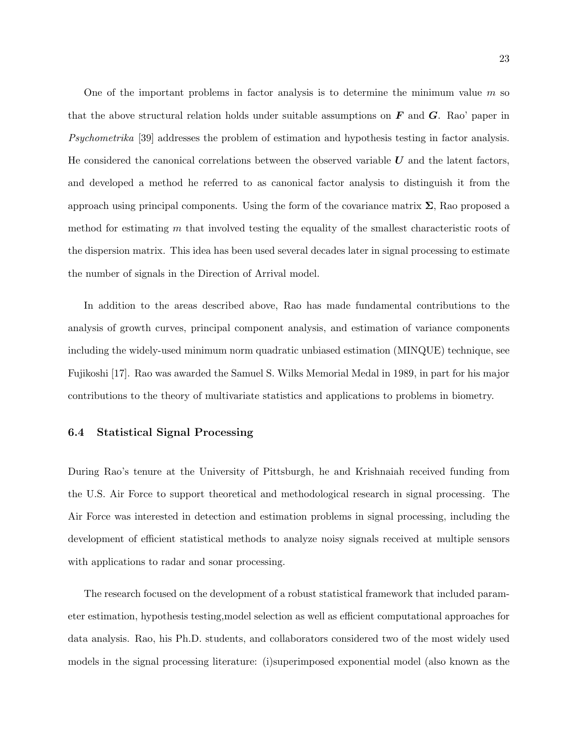One of the important problems in factor analysis is to determine the minimum value  $m$  so that the above structural relation holds under suitable assumptions on  $\bm{F}$  and  $\bm{G}$ . Rao' paper in Psychometrika [39] addresses the problem of estimation and hypothesis testing in factor analysis. He considered the canonical correlations between the observed variable  $U$  and the latent factors, and developed a method he referred to as canonical factor analysis to distinguish it from the approach using principal components. Using the form of the covariance matrix  $\Sigma$ , Rao proposed a method for estimating  $m$  that involved testing the equality of the smallest characteristic roots of the dispersion matrix. This idea has been used several decades later in signal processing to estimate the number of signals in the Direction of Arrival model.

In addition to the areas described above, Rao has made fundamental contributions to the analysis of growth curves, principal component analysis, and estimation of variance components including the widely-used minimum norm quadratic unbiased estimation (MINQUE) technique, see Fujikoshi [17]. Rao was awarded the Samuel S. Wilks Memorial Medal in 1989, in part for his major contributions to the theory of multivariate statistics and applications to problems in biometry.

### 6.4 Statistical Signal Processing

During Rao's tenure at the University of Pittsburgh, he and Krishnaiah received funding from the U.S. Air Force to support theoretical and methodological research in signal processing. The Air Force was interested in detection and estimation problems in signal processing, including the development of efficient statistical methods to analyze noisy signals received at multiple sensors with applications to radar and sonar processing.

The research focused on the development of a robust statistical framework that included parameter estimation, hypothesis testing,model selection as well as efficient computational approaches for data analysis. Rao, his Ph.D. students, and collaborators considered two of the most widely used models in the signal processing literature: (i)superimposed exponential model (also known as the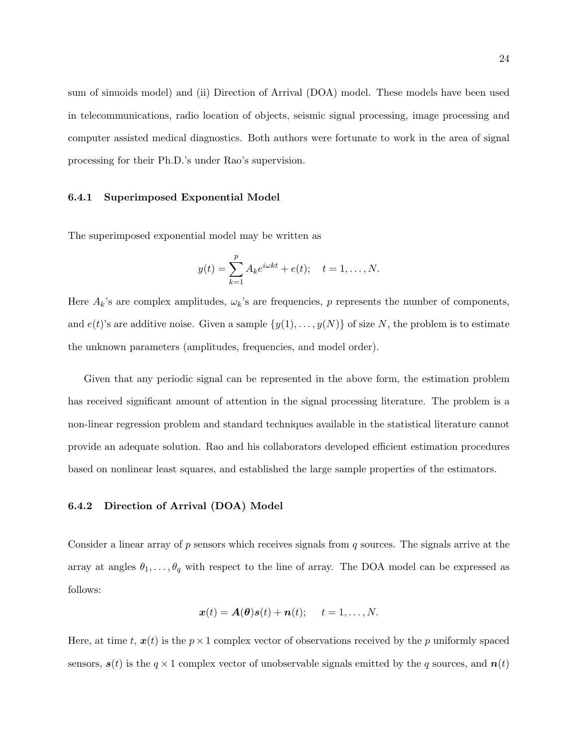sum of sinuoids model) and (ii) Direction of Arrival (DOA) model. These models have been used in telecommunications, radio location of objects, seismic signal processing, image processing and computer assisted medical diagnostics. Both authors were fortunate to work in the area of signal processing for their Ph.D.'s under Rao's supervision.

### 6.4.1 Superimposed Exponential Model

The superimposed exponential model may be written as

$$
y(t) = \sum_{k=1}^{p} A_k e^{i\omega kt} + e(t); \quad t = 1, ..., N.
$$

Here  $A_k$ 's are complex amplitudes,  $\omega_k$ 's are frequencies, p represents the number of components, and  $e(t)$ 's are additive noise. Given a sample  $\{y(1), \ldots, y(N)\}$  of size N, the problem is to estimate the unknown parameters (amplitudes, frequencies, and model order).

Given that any periodic signal can be represented in the above form, the estimation problem has received significant amount of attention in the signal processing literature. The problem is a non-linear regression problem and standard techniques available in the statistical literature cannot provide an adequate solution. Rao and his collaborators developed efficient estimation procedures based on nonlinear least squares, and established the large sample properties of the estimators.

#### 6.4.2 Direction of Arrival (DOA) Model

Consider a linear array of  $p$  sensors which receives signals from  $q$  sources. The signals arrive at the array at angles  $\theta_1, \ldots, \theta_q$  with respect to the line of array. The DOA model can be expressed as follows:

$$
\boldsymbol{x}(t) = \boldsymbol{A}(\boldsymbol{\theta})\boldsymbol{s}(t) + \boldsymbol{n}(t); \quad t = 1, \ldots, N.
$$

Here, at time t,  $x(t)$  is the  $p \times 1$  complex vector of observations received by the p uniformly spaced sensors,  $s(t)$  is the  $q \times 1$  complex vector of unobservable signals emitted by the q sources, and  $n(t)$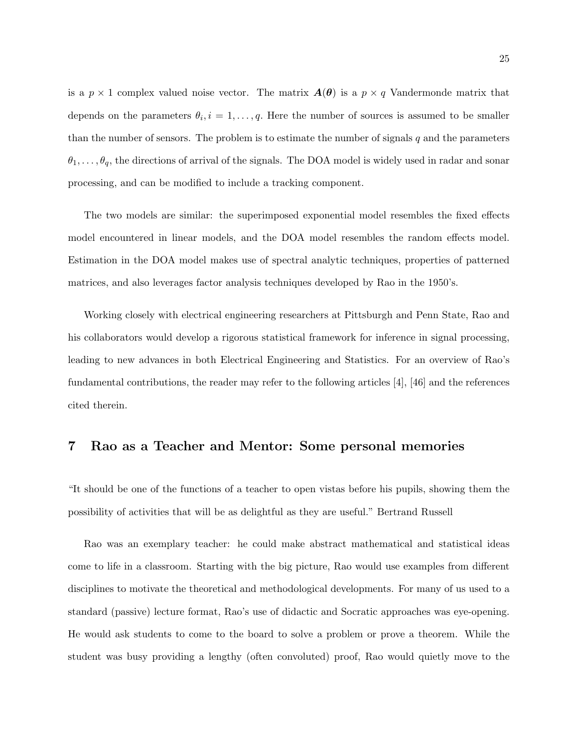is a  $p \times 1$  complex valued noise vector. The matrix  $A(\theta)$  is a  $p \times q$  Vandermonde matrix that depends on the parameters  $\theta_i$ ,  $i = 1, \ldots, q$ . Here the number of sources is assumed to be smaller than the number of sensors. The problem is to estimate the number of signals  $q$  and the parameters  $\theta_1, \ldots, \theta_q$ , the directions of arrival of the signals. The DOA model is widely used in radar and sonar processing, and can be modified to include a tracking component.

The two models are similar: the superimposed exponential model resembles the fixed effects model encountered in linear models, and the DOA model resembles the random effects model. Estimation in the DOA model makes use of spectral analytic techniques, properties of patterned matrices, and also leverages factor analysis techniques developed by Rao in the 1950's.

Working closely with electrical engineering researchers at Pittsburgh and Penn State, Rao and his collaborators would develop a rigorous statistical framework for inference in signal processing, leading to new advances in both Electrical Engineering and Statistics. For an overview of Rao's fundamental contributions, the reader may refer to the following articles [4], [46] and the references cited therein.

## 7 Rao as a Teacher and Mentor: Some personal memories

"It should be one of the functions of a teacher to open vistas before his pupils, showing them the possibility of activities that will be as delightful as they are useful." Bertrand Russell

Rao was an exemplary teacher: he could make abstract mathematical and statistical ideas come to life in a classroom. Starting with the big picture, Rao would use examples from different disciplines to motivate the theoretical and methodological developments. For many of us used to a standard (passive) lecture format, Rao's use of didactic and Socratic approaches was eye-opening. He would ask students to come to the board to solve a problem or prove a theorem. While the student was busy providing a lengthy (often convoluted) proof, Rao would quietly move to the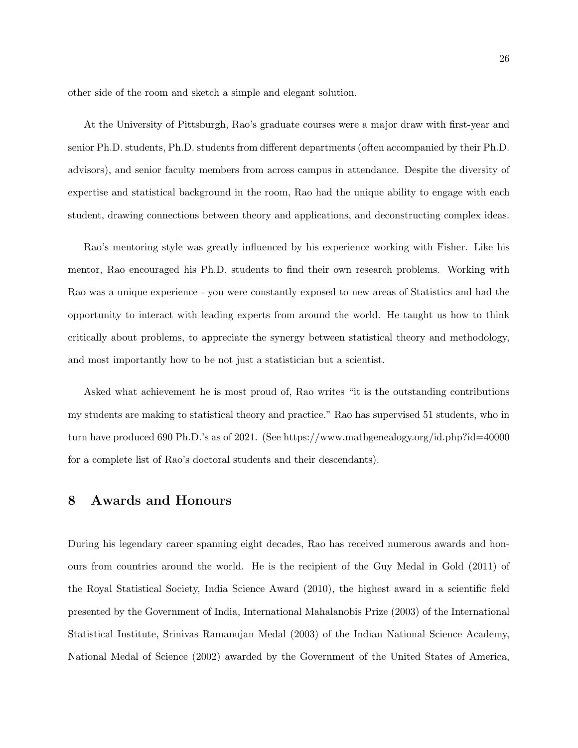other side of the room and sketch a simple and elegant solution.

At the University of Pittsburgh, Rao's graduate courses were a major draw with first-year and senior Ph.D. students, Ph.D. students from different departments (often accompanied by their Ph.D. advisors), and senior faculty members from across campus in attendance. Despite the diversity of expertise and statistical background in the room, Rao had the unique ability to engage with each student, drawing connections between theory and applications, and deconstructing complex ideas.

Rao's mentoring style was greatly influenced by his experience working with Fisher. Like his mentor, Rao encouraged his Ph.D. students to find their own research problems. Working with Rao was a unique experience - you were constantly exposed to new areas of Statistics and had the opportunity to interact with leading experts from around the world. He taught us how to think critically about problems, to appreciate the synergy between statistical theory and methodology, and most importantly how to be not just a statistician but a scientist.

Asked what achievement he is most proud of, Rao writes "it is the outstanding contributions my students are making to statistical theory and practice." Rao has supervised 51 students, who in turn have produced 690 Ph.D.'s as of 2021. (See https://www.mathgenealogy.org/id.php?id=40000 for a complete list of Rao's doctoral students and their descendants).

## 8 Awards and Honours

During his legendary career spanning eight decades, Rao has received numerous awards and honours from countries around the world. He is the recipient of the Guy Medal in Gold (2011) of the Royal Statistical Society, India Science Award (2010), the highest award in a scientific field presented by the Government of India, International Mahalanobis Prize (2003) of the International Statistical Institute, Srinivas Ramanujan Medal (2003) of the Indian National Science Academy, National Medal of Science (2002) awarded by the Government of the United States of America,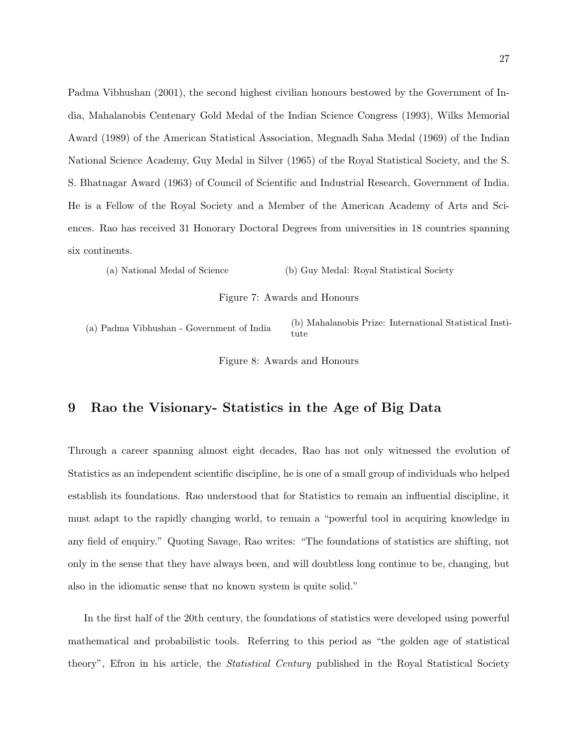Padma Vibhushan (2001), the second highest civilian honours bestowed by the Government of India, Mahalanobis Centenary Gold Medal of the Indian Science Congress (1993), Wilks Memorial Award (1989) of the American Statistical Association, Megnadh Saha Medal (1969) of the Indian National Science Academy, Guy Medal in Silver (1965) of the Royal Statistical Society, and the S. S. Bhatnagar Award (1963) of Council of Scientific and Industrial Research, Government of India. He is a Fellow of the Royal Society and a Member of the American Academy of Arts and Sciences. Rao has received 31 Honorary Doctoral Degrees from universities in 18 countries spanning six continents.

(a) National Medal of Science (b) Guy Medal: Royal Statistical Society

Figure 7: Awards and Honours

(a) Padma Vibhushan - Government of India (b) Mahalanobis Prize: International Statistical Institute

Figure 8: Awards and Honours

# 9 Rao the Visionary- Statistics in the Age of Big Data

Through a career spanning almost eight decades, Rao has not only witnessed the evolution of Statistics as an independent scientific discipline, he is one of a small group of individuals who helped establish its foundations. Rao understood that for Statistics to remain an influential discipline, it must adapt to the rapidly changing world, to remain a "powerful tool in acquiring knowledge in any field of enquiry." Quoting Savage, Rao writes: "The foundations of statistics are shifting, not only in the sense that they have always been, and will doubtless long continue to be, changing, but also in the idiomatic sense that no known system is quite solid."

In the first half of the 20th century, the foundations of statistics were developed using powerful mathematical and probabilistic tools. Referring to this period as "the golden age of statistical theory", Efron in his article, the *Statistical Century* published in the Royal Statistical Society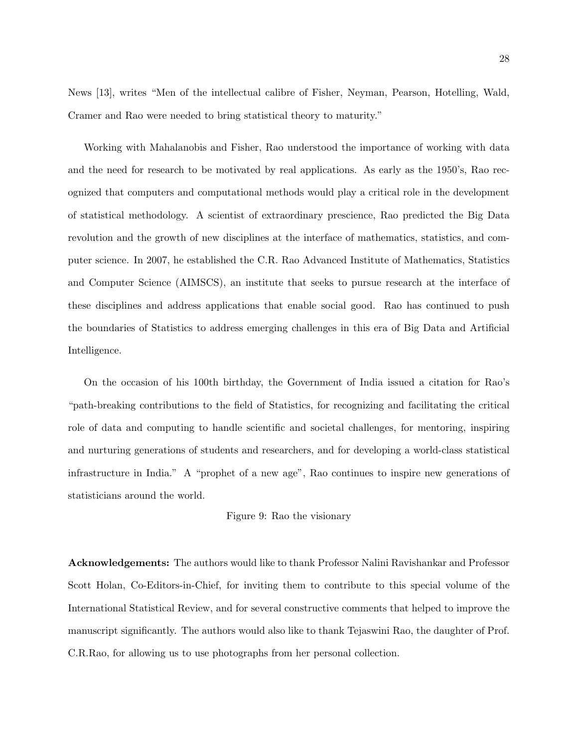News [13], writes "Men of the intellectual calibre of Fisher, Neyman, Pearson, Hotelling, Wald, Cramer and Rao were needed to bring statistical theory to maturity."

Working with Mahalanobis and Fisher, Rao understood the importance of working with data and the need for research to be motivated by real applications. As early as the 1950's, Rao recognized that computers and computational methods would play a critical role in the development of statistical methodology. A scientist of extraordinary prescience, Rao predicted the Big Data revolution and the growth of new disciplines at the interface of mathematics, statistics, and computer science. In 2007, he established the C.R. Rao Advanced Institute of Mathematics, Statistics and Computer Science (AIMSCS), an institute that seeks to pursue research at the interface of these disciplines and address applications that enable social good. Rao has continued to push the boundaries of Statistics to address emerging challenges in this era of Big Data and Artificial Intelligence.

On the occasion of his 100th birthday, the Government of India issued a citation for Rao's "path-breaking contributions to the field of Statistics, for recognizing and facilitating the critical role of data and computing to handle scientific and societal challenges, for mentoring, inspiring and nurturing generations of students and researchers, and for developing a world-class statistical infrastructure in India." A "prophet of a new age", Rao continues to inspire new generations of statisticians around the world.

#### Figure 9: Rao the visionary

Acknowledgements: The authors would like to thank Professor Nalini Ravishankar and Professor Scott Holan, Co-Editors-in-Chief, for inviting them to contribute to this special volume of the International Statistical Review, and for several constructive comments that helped to improve the manuscript significantly. The authors would also like to thank Tejaswini Rao, the daughter of Prof. C.R.Rao, for allowing us to use photographs from her personal collection.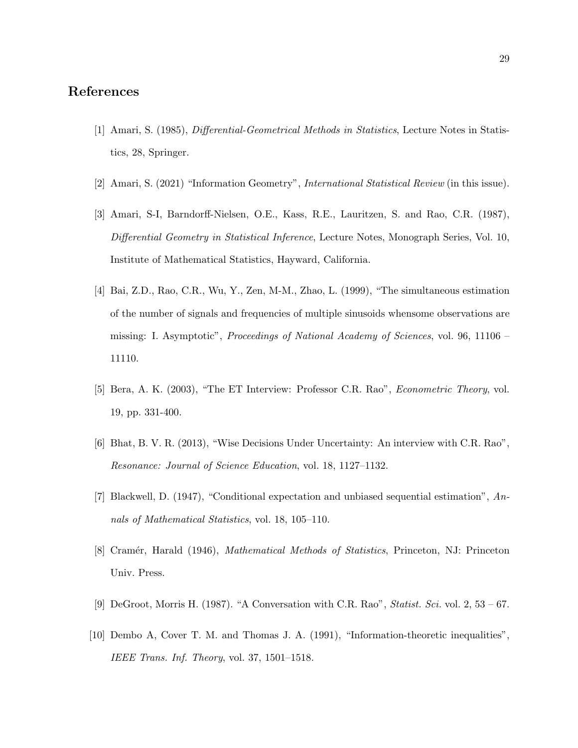# References

- [1] Amari, S. (1985), Differential-Geometrical Methods in Statistics, Lecture Notes in Statistics, 28, Springer.
- [2] Amari, S. (2021) "Information Geometry", International Statistical Review (in this issue).
- [3] Amari, S-I, Barndorff-Nielsen, O.E., Kass, R.E., Lauritzen, S. and Rao, C.R. (1987), Differential Geometry in Statistical Inference, Lecture Notes, Monograph Series, Vol. 10, Institute of Mathematical Statistics, Hayward, California.
- [4] Bai, Z.D., Rao, C.R., Wu, Y., Zen, M-M., Zhao, L. (1999), "The simultaneous estimation of the number of signals and frequencies of multiple sinusoids whensome observations are missing: I. Asymptotic", Proceedings of National Academy of Sciences, vol. 96, 11106 – 11110.
- [5] Bera, A. K. (2003), "The ET Interview: Professor C.R. Rao", Econometric Theory, vol. 19, pp. 331-400.
- [6] Bhat, B. V. R. (2013), "Wise Decisions Under Uncertainty: An interview with C.R. Rao", Resonance: Journal of Science Education, vol. 18, 1127–1132.
- [7] Blackwell, D. (1947), "Conditional expectation and unbiased sequential estimation", Annals of Mathematical Statistics, vol. 18, 105–110.
- [8] Cramér, Harald (1946), *Mathematical Methods of Statistics*, Princeton, NJ: Princeton Univ. Press.
- [9] DeGroot, Morris H. (1987). "A Conversation with C.R. Rao", *Statist. Sci.* vol. 2, 53 67.
- [10] Dembo A, Cover T. M. and Thomas J. A. (1991), "Information-theoretic inequalities", IEEE Trans. Inf. Theory, vol. 37, 1501–1518.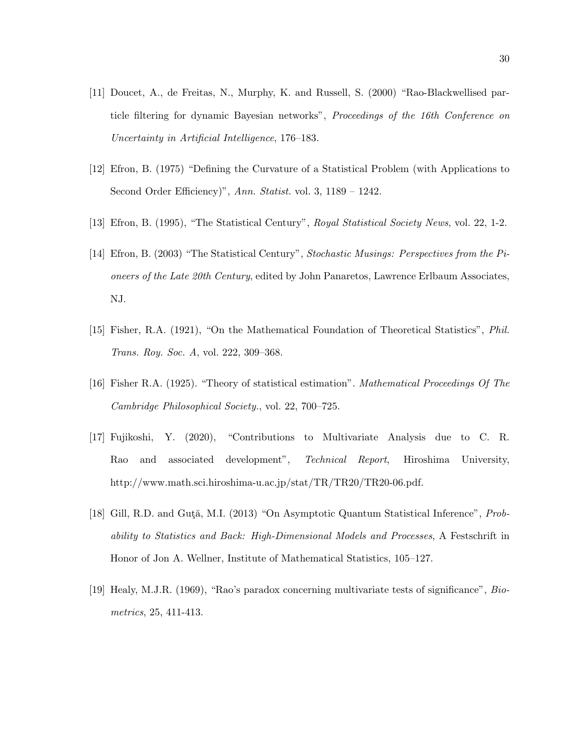- [11] Doucet, A., de Freitas, N., Murphy, K. and Russell, S. (2000) "Rao-Blackwellised particle filtering for dynamic Bayesian networks", Proceedings of the 16th Conference on Uncertainty in Artificial Intelligence, 176–183.
- [12] Efron, B. (1975) "Defining the Curvature of a Statistical Problem (with Applications to Second Order Efficiency)", Ann. Statist. vol. 3, 1189 - 1242.
- [13] Efron, B. (1995), "The Statistical Century", Royal Statistical Society News, vol. 22, 1-2.
- [14] Efron, B. (2003) "The Statistical Century", Stochastic Musings: Perspectives from the Pioneers of the Late 20th Century, edited by John Panaretos, Lawrence Erlbaum Associates, NJ.
- [15] Fisher, R.A. (1921), "On the Mathematical Foundation of Theoretical Statistics", Phil. Trans. Roy. Soc. A, vol. 222, 309–368.
- [16] Fisher R.A. (1925). "Theory of statistical estimation". Mathematical Proceedings Of The Cambridge Philosophical Society., vol. 22, 700–725.
- [17] Fujikoshi, Y. (2020), "Contributions to Multivariate Analysis due to C. R. Rao and associated development", Technical Report, Hiroshima University, http://www.math.sci.hiroshima-u.ac.jp/stat/TR/TR20/TR20-06.pdf.
- [18] Gill, R.D. and Guta, M.I. (2013) "On Asymptotic Quantum Statistical Inference", Probability to Statistics and Back: High-Dimensional Models and Processes, A Festschrift in Honor of Jon A. Wellner, Institute of Mathematical Statistics, 105–127.
- [19] Healy, M.J.R. (1969), "Rao's paradox concerning multivariate tests of significance", Biometrics, 25, 411-413.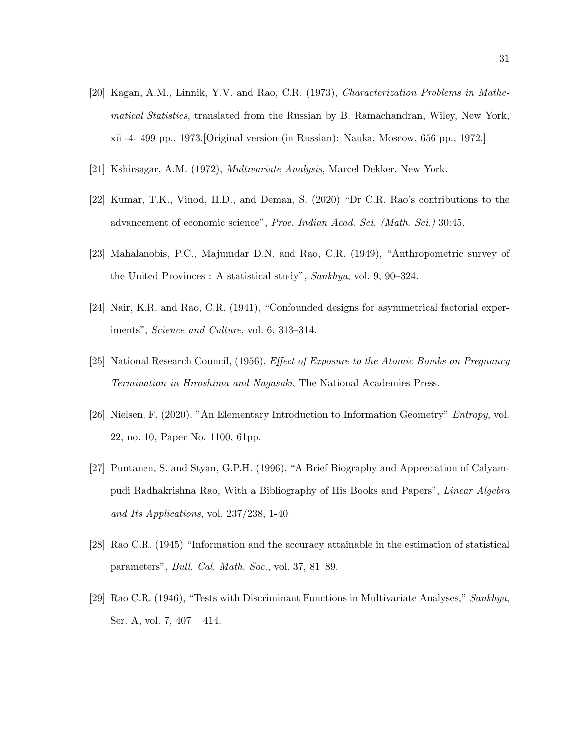- [20] Kagan, A.M., Linnik, Y.V. and Rao, C.R. (1973), Characterization Problems in Mathematical Statistics, translated from the Russian by B. Ramachandran, Wiley, New York, xii -4- 499 pp., 1973,[Original version (in Russian): Nauka, Moscow, 656 pp., 1972.]
- [21] Kshirsagar, A.M. (1972), Multivariate Analysis, Marcel Dekker, New York.
- [22] Kumar, T.K., Vinod, H.D., and Deman, S. (2020) "Dr C.R. Rao's contributions to the advancement of economic science", Proc. Indian Acad. Sci. (Math. Sci.) 30:45.
- [23] Mahalanobis, P.C., Majumdar D.N. and Rao, C.R. (1949), "Anthropometric survey of the United Provinces : A statistical study", Sankhya, vol. 9, 90–324.
- [24] Nair, K.R. and Rao, C.R. (1941), "Confounded designs for asymmetrical factorial experiments", Science and Culture, vol. 6, 313–314.
- [25] National Research Council, (1956), Effect of Exposure to the Atomic Bombs on Pregnancy Termination in Hiroshima and Nagasaki, The National Academies Press.
- [26] Nielsen, F. (2020). "An Elementary Introduction to Information Geometry" Entropy, vol. 22, no. 10, Paper No. 1100, 61pp.
- [27] Puntanen, S. and Styan, G.P.H. (1996), "A Brief Biography and Appreciation of Calyampudi Radhakrishna Rao, With a Bibliography of His Books and Papers", Linear Algebra and Its Applications, vol. 237/238, 1-40.
- [28] Rao C.R. (1945) "Information and the accuracy attainable in the estimation of statistical parameters", Bull. Cal. Math. Soc., vol. 37, 81–89.
- [29] Rao C.R. (1946), "Tests with Discriminant Functions in Multivariate Analyses," Sankhya, Ser. A, vol. 7, 407 – 414.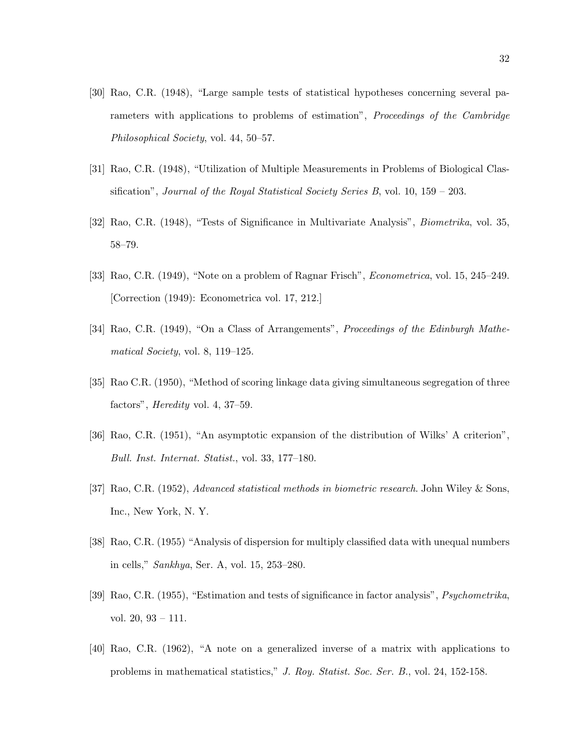- [30] Rao, C.R. (1948), "Large sample tests of statistical hypotheses concerning several parameters with applications to problems of estimation", Proceedings of the Cambridge Philosophical Society, vol. 44, 50–57.
- [31] Rao, C.R. (1948), "Utilization of Multiple Measurements in Problems of Biological Classification", Journal of the Royal Statistical Society Series B, vol.  $10, 159 - 203$ .
- [32] Rao, C.R. (1948), "Tests of Significance in Multivariate Analysis", Biometrika, vol. 35, 58–79.
- [33] Rao, C.R. (1949), "Note on a problem of Ragnar Frisch", Econometrica, vol. 15, 245–249. [Correction (1949): Econometrica vol. 17, 212.]
- [34] Rao, C.R. (1949), "On a Class of Arrangements", Proceedings of the Edinburgh Mathematical Society, vol. 8, 119–125.
- [35] Rao C.R. (1950), "Method of scoring linkage data giving simultaneous segregation of three factors", Heredity vol. 4, 37–59.
- [36] Rao, C.R. (1951), "An asymptotic expansion of the distribution of Wilks' A criterion", Bull. Inst. Internat. Statist., vol. 33, 177–180.
- [37] Rao, C.R. (1952), Advanced statistical methods in biometric research. John Wiley & Sons, Inc., New York, N. Y.
- [38] Rao, C.R. (1955) "Analysis of dispersion for multiply classified data with unequal numbers in cells," Sankhya, Ser. A, vol. 15, 253–280.
- [39] Rao, C.R. (1955), "Estimation and tests of significance in factor analysis", Psychometrika, vol. 20, 93 – 111.
- [40] Rao, C.R. (1962), "A note on a generalized inverse of a matrix with applications to problems in mathematical statistics," J. Roy. Statist. Soc. Ser. B., vol. 24, 152-158.